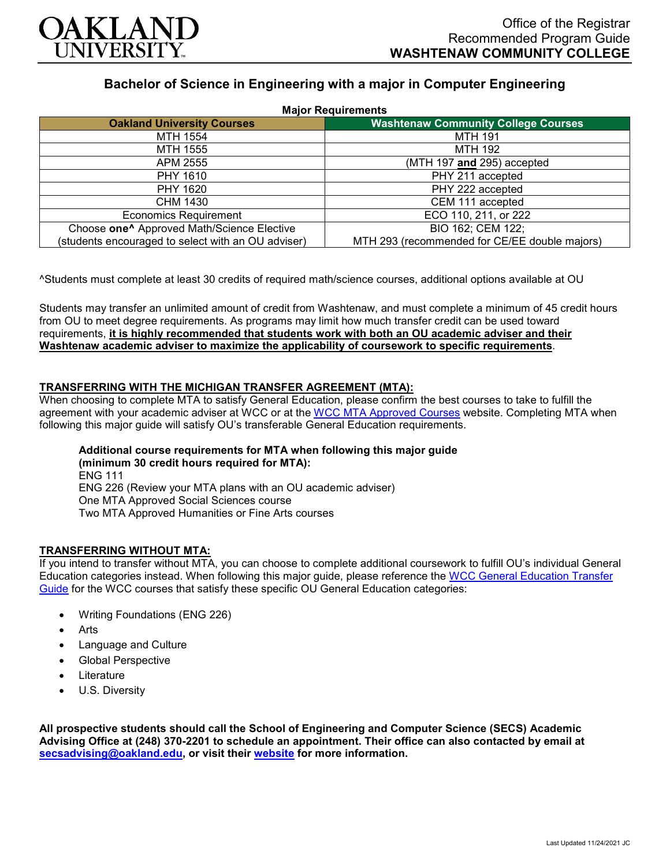

## **Bachelor of Science in Engineering with a major in Computer Engineering**

| <b>Major Requirements</b>                              |                                               |
|--------------------------------------------------------|-----------------------------------------------|
| <b>Oakland University Courses</b>                      | <b>Washtenaw Community College Courses</b>    |
| MTH 1554                                               | <b>MTH 191</b>                                |
| MTH 1555                                               | <b>MTH 192</b>                                |
| APM 2555                                               | (MTH 197 and 295) accepted                    |
| <b>PHY 1610</b>                                        | PHY 211 accepted                              |
| PHY 1620                                               | PHY 222 accepted                              |
| CHM 1430                                               | CEM 111 accepted                              |
| <b>Economics Requirement</b>                           | ECO 110, 211, or 222                          |
| Choose one <sup>^</sup> Approved Math/Science Elective | BIO 162; CEM 122;                             |
| (students encouraged to select with an OU adviser)     | MTH 293 (recommended for CE/EE double majors) |

^Students must complete at least 30 credits of required math/science courses, additional options available at OU

Students may transfer an unlimited amount of credit from Washtenaw, and must complete a minimum of 45 credit hours from OU to meet degree requirements. As programs may limit how much transfer credit can be used toward requirements, **it is highly recommended that students work with both an OU academic adviser and their Washtenaw academic adviser to maximize the applicability of coursework to specific requirements**.

### **TRANSFERRING WITH THE MICHIGAN TRANSFER AGREEMENT (MTA):**

When choosing to complete MTA to satisfy General Education, please confirm the best courses to take to fulfill the agreement with your academic adviser at WCC or at the [WCC MTA Approved Courses](http://www.wccnet.edu/services/transferresources/mta/) website. Completing MTA when following this major guide will satisfy OU's transferable General Education requirements.

# **Additional course requirements for MTA when following this major guide**

**(minimum 30 credit hours required for MTA):** ENG 111 ENG 226 (Review your MTA plans with an OU academic adviser) One MTA Approved Social Sciences course Two MTA Approved Humanities or Fine Arts courses

#### **TRANSFERRING WITHOUT MTA:**

If you intend to transfer without MTA, you can choose to complete additional coursework to fulfill OU's individual General Education categories instead. When following this major guide, please reference the [WCC General Education Transfer](https://www.oakland.edu/Assets/Oakland/program-guides/washtenaw-community-college/university-general-education-requirements/Washtenaw%20Gen%20Ed.pdf)  [Guide](https://www.oakland.edu/Assets/Oakland/program-guides/washtenaw-community-college/university-general-education-requirements/Washtenaw%20Gen%20Ed.pdf) for the WCC courses that satisfy these specific OU General Education categories:

- Writing Foundations (ENG 226)
- **Arts**
- Language and Culture
- Global Perspective
- **Literature**
- U.S. Diversity

**All prospective students should call the School of Engineering and Computer Science (SECS) Academic Advising Office at (248) 370-2201 to schedule an appointment. Their office can also contacted by email at [secsadvising@oakland.edu,](mailto:secsadvising@oakland.edu) or visit their [website](https://wwwp.oakland.edu/secs/advising/) for more information.**